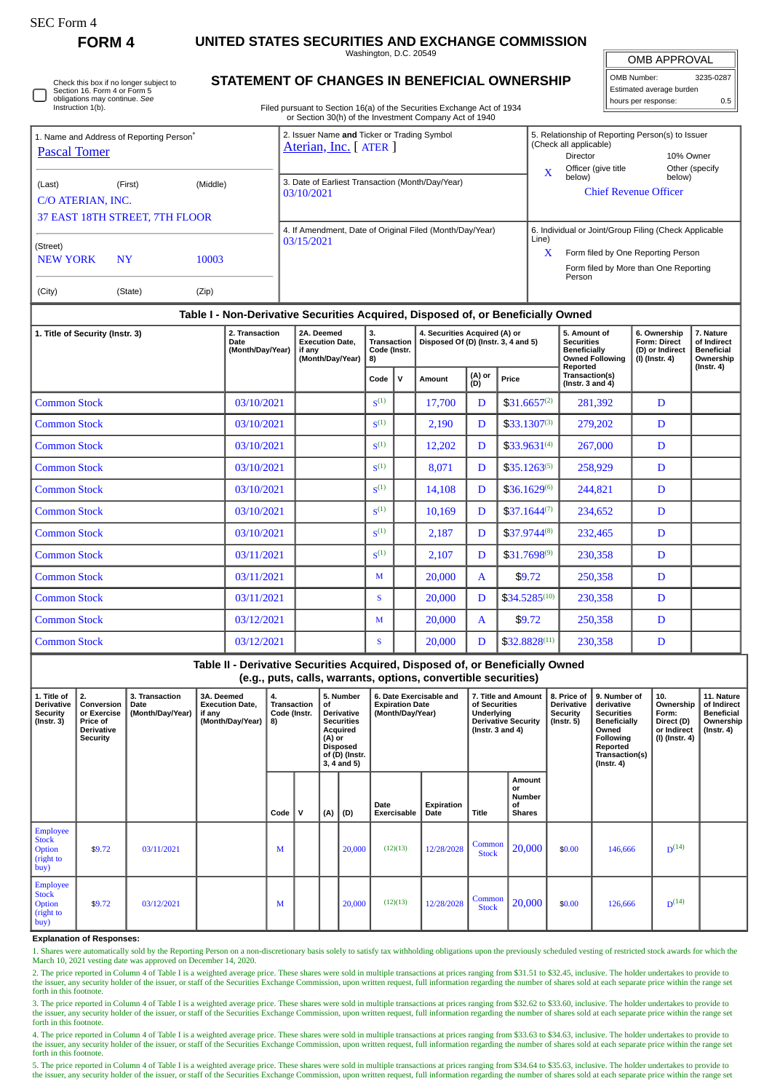∩

**FORM 4 UNITED STATES SECURITIES AND EXCHANGE COMMISSION**

Washington, D.C. 20549

OMB APPROVAL OMB Number: 3235-0287 Estimated average burden

hours per response: 0.5

| Check this box if no longer subject to |
|----------------------------------------|
| Section 16. Form 4 or Form 5           |
| obligations may continue. See          |
| Instruction 1(b).                      |

## **STATEMENT OF CHANGES IN BENEFICIAL OWNERSHIP**

Filed pursuant to Section 16(a) of the Securities Exchange Act of 1934 or Section 30(h) of the Investment Company Act of 1940

| 1. Name and Address of Reporting Person <sup>®</sup><br>Pascal Tomer |                                           |                | 2. Issuer Name and Ticker or Trading Symbol<br>Aterian, Inc. [ATER]    | 5. Relationship of Reporting Person(s) to Issuer<br>(Check all applicable)<br>10% Owner<br><b>Director</b>                                                   |  |  |  |  |
|----------------------------------------------------------------------|-------------------------------------------|----------------|------------------------------------------------------------------------|--------------------------------------------------------------------------------------------------------------------------------------------------------------|--|--|--|--|
| (Last)<br>C/O ATERIAN, INC.                                          | (First)<br>37 EAST 18TH STREET, 7TH FLOOR | (Middle)       | 3. Date of Earliest Transaction (Month/Day/Year)<br>03/10/2021         | Other (specify<br>Officer (give title<br>below)<br>below)<br><b>Chief Revenue Officer</b>                                                                    |  |  |  |  |
| (Street)<br><b>NEW YORK</b><br>(City)                                | <b>NY</b><br>(State)                      | 10003<br>(Zip) | 4. If Amendment, Date of Original Filed (Month/Day/Year)<br>03/15/2021 | 6. Individual or Joint/Group Filing (Check Applicable<br>Line)<br>x<br>Form filed by One Reporting Person<br>Form filed by More than One Reporting<br>Person |  |  |  |  |

## **Table I - Non-Derivative Securities Acquired, Disposed of, or Beneficially Owned**

| 1. Title of Security (Instr. 3) | 2. Transaction<br>Date<br>(Month/Day/Year) | 2A. Deemed<br><b>Execution Date.</b><br>if any<br>(Month/Day/Year) | 3.<br><b>Transaction</b><br>Code (Instr.<br>8) |   | 4. Securities Acquired (A) or<br>Disposed Of (D) (Instr. 3, 4 and 5) |               | 5. Amount of<br><b>Securities</b><br><b>Beneficially</b><br><b>Owned Following</b> | 6. Ownership<br><b>Form: Direct</b><br>(D) or Indirect<br>(I) (Instr. 4) | 7. Nature<br>of Indirect<br><b>Beneficial</b><br>Ownership |                  |
|---------------------------------|--------------------------------------------|--------------------------------------------------------------------|------------------------------------------------|---|----------------------------------------------------------------------|---------------|------------------------------------------------------------------------------------|--------------------------------------------------------------------------|------------------------------------------------------------|------------------|
|                                 |                                            |                                                                    | Code                                           | v | Amount                                                               | (A) or<br>(D) | Price                                                                              | Reported<br>Transaction(s)<br>(Instr. $3$ and $4$ )                      |                                                            | $($ Instr. 4 $)$ |
| <b>Common Stock</b>             | 03/10/2021                                 |                                                                    | S <sup>(1)</sup>                               |   | 17,700                                                               | D             | $$31.6657^{(2)}$                                                                   | 281,392                                                                  | D                                                          |                  |
| <b>Common Stock</b>             | 03/10/2021                                 |                                                                    | S <sup>(1)</sup>                               |   | 2,190                                                                | D             | $$33.1307^{(3)}$$                                                                  | 279,202                                                                  | D                                                          |                  |
| <b>Common Stock</b>             | 03/10/2021                                 |                                                                    | S <sub>1</sub>                                 |   | 12,202                                                               | D             | $$33.9631^{(4)}$$                                                                  | 267,000                                                                  | D                                                          |                  |
| <b>Common Stock</b>             | 03/10/2021                                 |                                                                    | S <sup>(1)</sup>                               |   | 8,071                                                                | D             | $$35.1263^{(5)}$$                                                                  | 258,929                                                                  | D                                                          |                  |
| <b>Common Stock</b>             | 03/10/2021                                 |                                                                    | S <sub>1</sub>                                 |   | 14,108                                                               | D             | $$36.1629^{(6)}$                                                                   | 244,821                                                                  | D                                                          |                  |
| <b>Common Stock</b>             | 03/10/2021                                 |                                                                    | S <sup>(1)</sup>                               |   | 10,169                                                               | D             | $$37.1644^{(7)}$                                                                   | 234,652                                                                  | D                                                          |                  |
| <b>Common Stock</b>             | 03/10/2021                                 |                                                                    | S <sub>1</sub>                                 |   | 2,187                                                                | D             | $$37.9744^{(8)}$                                                                   | 232,465                                                                  | D                                                          |                  |
| <b>Common Stock</b>             | 03/11/2021                                 |                                                                    | S <sup>(1)</sup>                               |   | 2,107                                                                | D             | $$31.7698^{(9)}$                                                                   | 230,358                                                                  | D                                                          |                  |
| <b>Common Stock</b>             | 03/11/2021                                 |                                                                    | M                                              |   | 20,000                                                               | A             | \$9.72                                                                             | 250,358                                                                  | D                                                          |                  |
| <b>Common Stock</b>             | 03/11/2021                                 |                                                                    | S                                              |   | 20,000                                                               | D             | $$34.5285^{(10)}$                                                                  | 230,358                                                                  | D                                                          |                  |
| <b>Common Stock</b>             | 03/12/2021                                 |                                                                    | M                                              |   | 20,000                                                               | A             | \$9.72                                                                             | 250,358                                                                  | D                                                          |                  |
| <b>Common Stock</b>             | 03/12/2021                                 |                                                                    | S                                              |   | 20,000                                                               | D             | $$32.8828^{(11)}$                                                                  | 230,358                                                                  | D                                                          |                  |

**Table II - Derivative Securities Acquired, Disposed of, or Beneficially Owned (e.g., puts, calls, warrants, options, convertible securities) 1. Title of Derivative Security (Instr. 3) 2. Conversion or Exercise Price of Derivative Security 3. Transaction Date (Month/Day/Year) 3A. Deemed Execution Date, if any (Month/Day/Year) 4. Transaction Code (Instr. 8) 5. Number of Derivative Securities Acquired (A) or Disposed of (D) (Instr. 3, 4 and 5) 6. Date Exercisable and Expiration Date (Month/Day/Year) 7. Title and Amount of Securities Underlying Derivative Security (Instr. 3 and 4) 8. Price of Derivative Security (Instr. 5) 9. Number of derivative Securities Beneficially Owned Following Reported Transaction(s) (Instr. 4) 10. Ownership Form: Direct (D) or Indirect (I) (Instr. 4) 11. Nature of Indirect Beneficial Ownership (Instr. 4) Code V (A) (D) Date Exercisable Expiration Date Title Amount or Number of Shares** Employee **Stock Option** (right to buy) \$9.72 03/11/2021 M  $\parallel$  M 20,000 (12)(13) 12/28/2028 Common  $\begin{array}{|c|c|c|c|c|c|c|c|} \hline \text{Common} & 20,000 & $0.00 & 146,666 \ \hline \end{array}$  $D^{(14)}$ Employee Stock Option (right to buy) \$9.72 03/12/2021 <sup>M</sup> 20,000 (12)(13) 12/28/2028 Common  $\begin{array}{|c|c|c|c|c|c|c|c|} \hline \text{Common} & 20,000 & $0.00 & 126,666 \ \hline \end{array}$  $D^{(14)}$ 

**Explanation of Responses:**

1. Shares were automatically sold by the Reporting Person on a non-discretionary basis solely to satisfy tax withholding obligations upon the previously scheduled vesting of restricted stock awards for which the March 10, 2021 vesting date was approved on December 14, 2020.

2. The price reported in Column 4 of Table I is a weighted average price. These shares were sold in multiple transactions at prices ranging from \$31.51 to \$32.45, inclusive. The holder undertakes to provide to provide to p

3. The price reported in Column 4 of Table I is a weighted average price. These shares were sold in multiple transactions at prices ranging from \$32.62 to \$33.60, inclusive. The holder undertakes to provide to the issuer, any security holder of the issuer, or staff of the Securities Exchange Commission, upon written request, full information regarding the number of shares sold at each separate price within the range set forth in this footnote.

4. The price reported in Column 4 of Table I is a weighted average price. These shares were sold in multiple transactions at prices ranging from \$33.63 to \$34.63, inclusive. The holder undertakes to provide to the issuer, any security holder of the issuer, or staff of the Securities Exchange Commission, upon written request, full information regarding the number of shares sold at each separate price within the range set forth in this footnote.

5. The price reported in Column 4 of Table I is a weighted average price. These shares were sold in multiple transactions at prices ranging from \$34.64 to \$35.63, inclusive. The holder undertakes to provide to<br>the issuer,